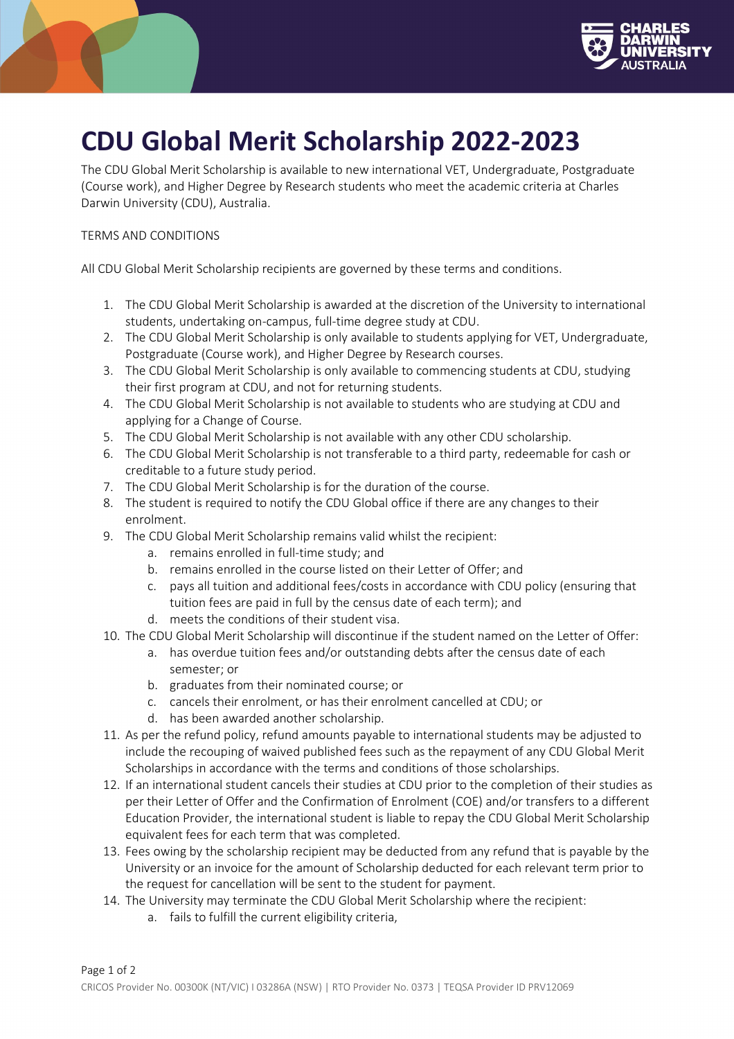

## **CDU Global Merit Scholarship 2022-2023**

The CDU Global Merit Scholarship is available to new international VET, Undergraduate, Postgraduate (Course work), and Higher Degree by Research students who meet the academic criteria at Charles Darwin University (CDU), Australia.

## TERMS AND CONDITIONS

All CDU Global Merit Scholarship recipients are governed by these terms and conditions.

- 1. The CDU Global Merit Scholarship is awarded at the discretion of the University to international students, undertaking on-campus, full-time degree study at CDU.
- 2. The CDU Global Merit Scholarship is only available to students applying for VET, Undergraduate, Postgraduate (Course work), and Higher Degree by Research courses.
- 3. The CDU Global Merit Scholarship is only available to commencing students at CDU, studying their first program at CDU, and not for returning students.
- 4. The CDU Global Merit Scholarship is not available to students who are studying at CDU and applying for a Change of Course.
- 5. The CDU Global Merit Scholarship is not available with any other CDU scholarship.
- 6. The CDU Global Merit Scholarship is not transferable to a third party, redeemable for cash or creditable to a future study period.
- 7. The CDU Global Merit Scholarship is for the duration of the course.
- 8. The student is required to notify the CDU Global office if there are any changes to their enrolment.
- 9. The CDU Global Merit Scholarship remains valid whilst the recipient:
	- a. remains enrolled in full-time study; and
	- b. remains enrolled in the course listed on their Letter of Offer; and
	- c. pays all tuition and additional fees/costs in accordance with CDU policy (ensuring that tuition fees are paid in full by the census date of each term); and
	- d. meets the conditions of their student visa.
- 10. The CDU Global Merit Scholarship will discontinue if the student named on the Letter of Offer:
	- a. has overdue tuition fees and/or outstanding debts after the census date of each semester; or
	- b. graduates from their nominated course; or
	- c. cancels their enrolment, or has their enrolment cancelled at CDU; or
	- d. has been awarded another scholarship.
- 11. As per the refund policy, refund amounts payable to international students may be adjusted to include the recouping of waived published fees such as the repayment of any CDU Global Merit Scholarships in accordance with the terms and conditions of those scholarships.
- 12. If an international student cancels their studies at CDU prior to the completion of their studies as per their Letter of Offer and the Confirmation of Enrolment (COE) and/or transfers to a different Education Provider, the international student is liable to repay the CDU Global Merit Scholarship equivalent fees for each term that was completed.
- 13. Fees owing by the scholarship recipient may be deducted from any refund that is payable by the University or an invoice for the amount of Scholarship deducted for each relevant term prior to the request for cancellation will be sent to the student for payment.
- 14. The University may terminate the CDU Global Merit Scholarship where the recipient:
	- a. fails to fulfill the current eligibility criteria,